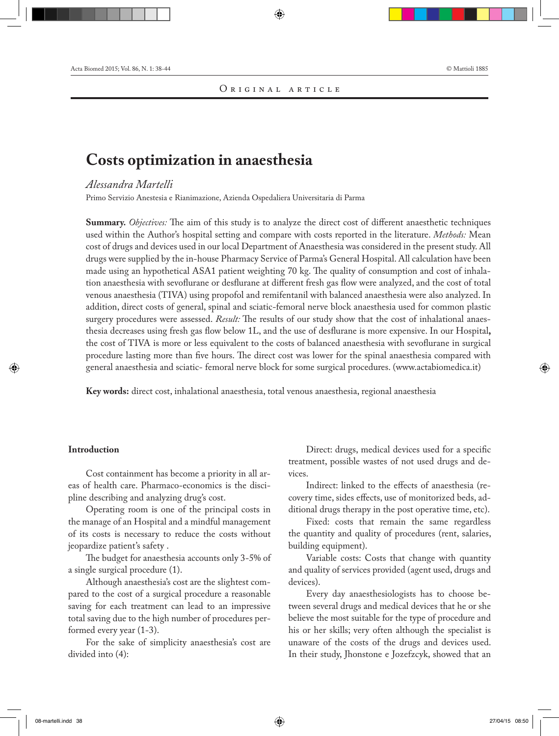# **Costs optimization in anaesthesia**

# *Alessandra Martelli*

Primo Servizio Anestesia e Rianimazione, Azienda Ospedaliera Universitaria di Parma

**Summary.** *Objectives:* The aim of this study is to analyze the direct cost of different anaesthetic techniques used within the Author's hospital setting and compare with costs reported in the literature. *Methods:* Mean cost of drugs and devices used in our local Department of Anaesthesia was considered in the present study. All drugs were supplied by the in-house Pharmacy Service of Parma's General Hospital. All calculation have been made using an hypothetical ASA1 patient weighting 70 kg. The quality of consumption and cost of inhalation anaesthesia with sevoflurane or desflurane at different fresh gas flow were analyzed, and the cost of total venous anaesthesia (TIVA) using propofol and remifentanil with balanced anaesthesia were also analyzed. In addition, direct costs of general, spinal and sciatic-femoral nerve block anaesthesia used for common plastic surgery procedures were assessed. *Result:* The results of our study show that the cost of inhalational anaesthesia decreases using fresh gas flow below 1L, and the use of desflurane is more expensive. In our Hospital**,**  the cost of TIVA is more or less equivalent to the costs of balanced anaesthesia with sevoflurane in surgical procedure lasting more than five hours. The direct cost was lower for the spinal anaesthesia compared with general anaesthesia and sciatic- femoral nerve block for some surgical procedures. (www.actabiomedica.it)

**Key words:** direct cost, inhalational anaesthesia, total venous anaesthesia, regional anaesthesia

# **Introduction**

Cost containment has become a priority in all areas of health care. Pharmaco-economics is the discipline describing and analyzing drug's cost.

Operating room is one of the principal costs in the manage of an Hospital and a mindful management of its costs is necessary to reduce the costs without jeopardize patient's safety .

The budget for anaesthesia accounts only 3-5% of a single surgical procedure (1).

Although anaesthesia's cost are the slightest compared to the cost of a surgical procedure a reasonable saving for each treatment can lead to an impressive total saving due to the high number of procedures performed every year (1-3).

For the sake of simplicity anaesthesia's cost are divided into (4):

Direct: drugs, medical devices used for a specific treatment, possible wastes of not used drugs and devices.

Indirect: linked to the effects of anaesthesia (recovery time, sides effects, use of monitorized beds, additional drugs therapy in the post operative time, etc).

Fixed: costs that remain the same regardless the quantity and quality of procedures (rent, salaries, building equipment).

Variable costs: Costs that change with quantity and quality of services provided (agent used, drugs and devices).

Every day anaesthesiologists has to choose between several drugs and medical devices that he or she believe the most suitable for the type of procedure and his or her skills; very often although the specialist is unaware of the costs of the drugs and devices used. In their study, Jhonstone e Jozefzcyk, showed that an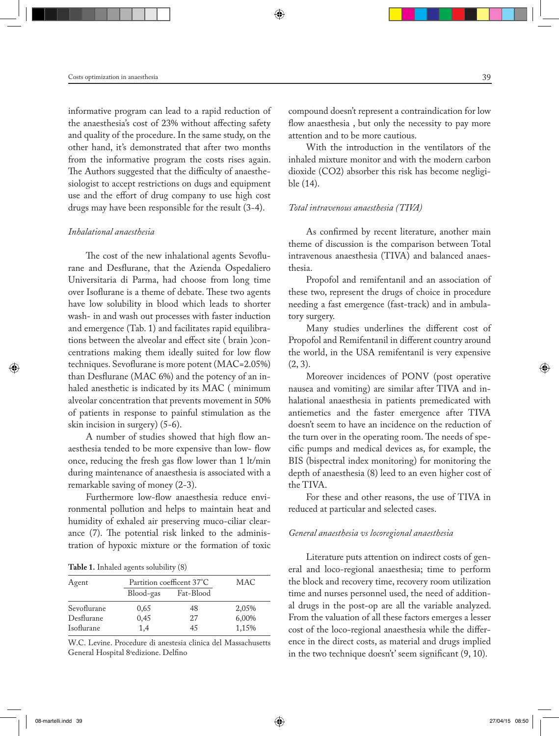informative program can lead to a rapid reduction of the anaesthesia's cost of 23% without affecting safety and quality of the procedure. In the same study, on the other hand, it's demonstrated that after two months from the informative program the costs rises again. The Authors suggested that the difficulty of anaesthesiologist to accept restrictions on dugs and equipment use and the effort of drug company to use high cost drugs may have been responsible for the result (3-4).

#### *Inhalational anaesthesia*

The cost of the new inhalational agents Sevoflurane and Desflurane, that the Azienda Ospedaliero Universitaria di Parma, had choose from long time over Isoflurane is a theme of debate. These two agents have low solubility in blood which leads to shorter wash- in and wash out processes with faster induction and emergence (Tab. 1) and facilitates rapid equilibrations between the alveolar and effect site ( brain )concentrations making them ideally suited for low flow techniques. Sevoflurane is more potent (MAC=2.05%) than Desflurane (MAC 6%) and the potency of an inhaled anesthetic is indicated by its MAC ( minimum alveolar concentration that prevents movement in 50% of patients in response to painful stimulation as the skin incision in surgery) (5-6).

A number of studies showed that high flow anaesthesia tended to be more expensive than low- flow once, reducing the fresh gas flow lower than 1 lt/min during maintenance of anaesthesia is associated with a remarkable saving of money (2-3).

Furthermore low-flow anaesthesia reduce environmental pollution and helps to maintain heat and humidity of exhaled air preserving muco-ciliar clearance (7). The potential risk linked to the administration of hypoxic mixture or the formation of toxic

**Table 1.** Inhaled agents solubility (8)

| Agent       |           | Partition coefficent 37°C |       |
|-------------|-----------|---------------------------|-------|
|             | Blood-gas | Fat-Blood                 |       |
| Sevoflurane | 0,65      | 48                        | 2,05% |
| Desflurane  | 0,45      | 2.7                       | 6,00% |
| Isoflurane  | 1.4       | 45                        | 1,15% |

W.C. Levine. Procedure di anestesia clinica del Massachusetts General Hospital 8ªedizione. Delfino

compound doesn't represent a contraindication for low flow anaesthesia , but only the necessity to pay more attention and to be more cautious.

With the introduction in the ventilators of the inhaled mixture monitor and with the modern carbon dioxide (CO2) absorber this risk has become negligible (14).

#### *Total intravenous anaesthesia (TIVA)*

As confirmed by recent literature, another main theme of discussion is the comparison between Total intravenous anaesthesia (TIVA) and balanced anaesthesia.

Propofol and remifentanil and an association of these two, represent the drugs of choice in procedure needing a fast emergence (fast-track) and in ambulatory surgery.

Many studies underlines the different cost of Propofol and Remifentanil in different country around the world, in the USA remifentanil is very expensive  $(2, 3)$ .

Moreover incidences of PONV (post operative nausea and vomiting) are similar after TIVA and inhalational anaesthesia in patients premedicated with antiemetics and the faster emergence after TIVA doesn't seem to have an incidence on the reduction of the turn over in the operating room. The needs of specific pumps and medical devices as, for example, the BIS (bispectral index monitoring) for monitoring the depth of anaesthesia (8) leed to an even higher cost of the TIVA.

For these and other reasons, the use of TIVA in reduced at particular and selected cases.

#### *General anaesthesia vs locoregional anaesthesia*

Literature puts attention on indirect costs of general and loco-regional anaesthesia; time to perform the block and recovery time, recovery room utilization time and nurses personnel used, the need of additional drugs in the post-op are all the variable analyzed. From the valuation of all these factors emerges a lesser cost of the loco-regional anaesthesia while the difference in the direct costs, as material and drugs implied in the two technique doesn't' seem significant (9, 10).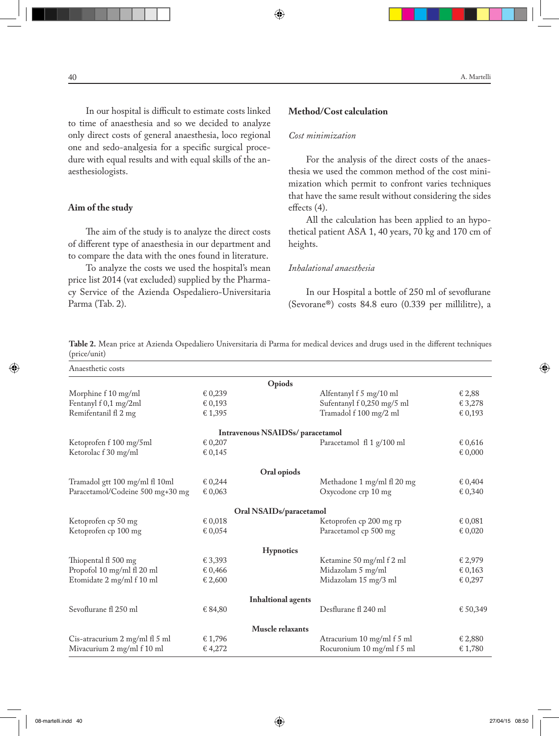In our hospital is difficult to estimate costs linked to time of anaesthesia and so we decided to analyze only direct costs of general anaesthesia, loco regional one and sedo-analgesia for a specific surgical procedure with equal results and with equal skills of the anaesthesiologists.

#### **Aim of the study**

The aim of the study is to analyze the direct costs of different type of anaesthesia in our department and to compare the data with the ones found in literature.

To analyze the costs we used the hospital's mean price list 2014 (vat excluded) supplied by the Pharmacy Service of the Azienda Ospedaliero-Universitaria Parma (Tab. 2).

### **Method/Cost calculation**

## *Cost minimization*

For the analysis of the direct costs of the anaesthesia we used the common method of the cost minimization which permit to confront varies techniques that have the same result without considering the sides effects (4).

All the calculation has been applied to an hypothetical patient ASA 1, 40 years, 70 kg and 170 cm of heights.

## *Inhalational anaesthesia*

In our Hospital a bottle of 250 ml of sevoflurane (Sevorane®) costs 84.8 euro (0.339 per millilitre), a

**Table 2.** Mean price at Azienda Ospedaliero Universitaria di Parma for medical devices and drugs used in the different techniques (price/unit)

| Anaesthetic costs                |         |                                 |                            |          |
|----------------------------------|---------|---------------------------------|----------------------------|----------|
|                                  |         | Opiods                          |                            |          |
| Morphine f 10 mg/ml              | € 0,239 |                                 | Alfentanyl f 5 mg/10 ml    | € 2,88   |
| Fentanyl f 0,1 mg/2ml            | € 0,193 |                                 | Sufentanyl f 0,250 mg/5 ml | € 3,278  |
| Remifentanil fl 2 mg             | € 1,395 |                                 | Tramadol f 100 mg/2 ml     | € 0,193  |
|                                  |         | Intravenous NSAIDSs/paracetamol |                            |          |
| Ketoprofen f 100 mg/5ml          | € 0,207 |                                 | Paracetamol fl 1 g/100 ml  | € 0,616  |
| Ketorolac f 30 mg/ml             | € 0,145 |                                 |                            | € 0,000  |
|                                  |         | Oral opiods                     |                            |          |
| Tramadol gtt 100 mg/ml fl 10ml   | € 0,244 |                                 | Methadone 1 mg/ml fl 20 mg | € 0,404  |
| Paracetamol/Codeine 500 mg+30 mg | € 0,063 |                                 | Oxycodone crp 10 mg        | € 0,340  |
|                                  |         | Oral NSAIDs/paracetamol         |                            |          |
| Ketoprofen cp 50 mg              | € 0,018 |                                 | Ketoprofen cp 200 mg rp    | € 0,081  |
| Ketoprofen cp 100 mg             | € 0,054 |                                 | Paracetamol cp 500 mg      | € 0,020  |
|                                  |         | <b>Hypnotics</b>                |                            |          |
| Thiopental fl 500 mg             | € 3,393 |                                 | Ketamine 50 mg/ml f 2 ml   | € 2,979  |
| Propofol 10 mg/ml fl 20 ml       | € 0,466 |                                 | Midazolam 5 mg/ml          | € 0,163  |
| Etomidate 2 mg/ml f 10 ml        | € 2,600 |                                 | Midazolam 15 mg/3 ml       | € 0,297  |
|                                  |         | <b>Inhaltional agents</b>       |                            |          |
| Sevoflurane fl 250 ml            | € 84,80 |                                 | Desflurane fl 240 ml       | € 50,349 |
|                                  |         | Muscle relaxants                |                            |          |
| Cis-atracurium 2 mg/ml fl 5 ml   | € 1,796 |                                 | Atracurium 10 mg/ml f 5 ml | € 2,880  |
| Mivacurium 2 mg/ml f 10 ml       | € 4,272 |                                 | Rocuronium 10 mg/ml f 5 ml | € 1,780  |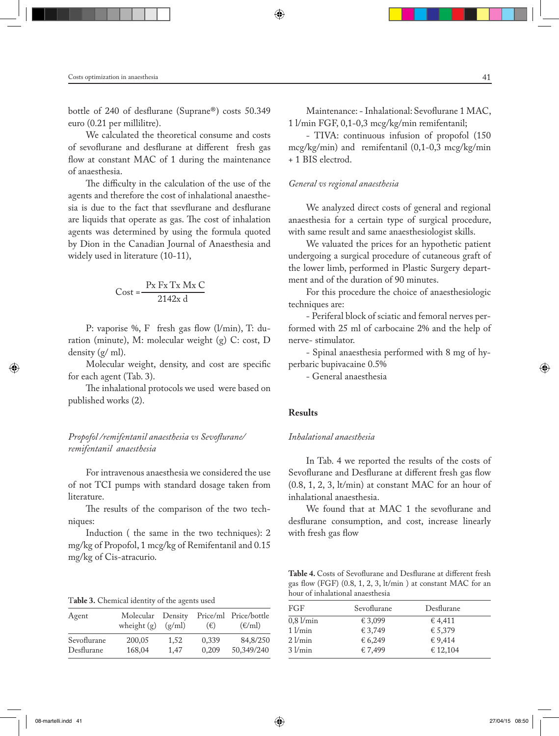bottle of 240 of desflurane (Suprane®) costs 50.349 euro (0.21 per millilitre).

We calculated the theoretical consume and costs of sevoflurane and desflurane at different fresh gas flow at constant MAC of 1 during the maintenance of anaesthesia.

The difficulty in the calculation of the use of the agents and therefore the cost of inhalational anaesthesia is due to the fact that ssevflurane and desflurane are liquids that operate as gas. The cost of inhalation agents was determined by using the formula quoted by Dion in the Canadian Journal of Anaesthesia and widely used in literature (10-11),

$$
Cost = \frac{P x \, F x \, T x \, M x \, C}{2142x \, d}
$$

P: vaporise %, F fresh gas flow (l/min), T: duration (minute), M: molecular weight (g) C: cost, D density (g/ ml).

Molecular weight, density, and cost are specific for each agent (Tab. 3).

The inhalational protocols we used were based on published works (2).

*Propofol /remifentanil anaesthesia vs Sevoflurane/ remifentanil anaesthesia*

For intravenous anaesthesia we considered the use of not TCI pumps with standard dosage taken from literature.

The results of the comparison of the two techniques:

Induction ( the same in the two techniques): 2 mg/kg of Propofol, 1 mcg/kg of Remifentanil and 0.15 mg/kg of Cis-atracurio.

T**able 3.** Chemical identity of the agents used

| Agent       | Molecular Density<br>wheight $(g)$ | (g/ml) | $(\epsilon)$ | Price/ml Price/bottle<br>$(\epsilon/ml)$ |
|-------------|------------------------------------|--------|--------------|------------------------------------------|
| Sevoflurane | 200,05                             | 1.52   | 0.339        | 84,8/250                                 |
| Desflurane  | 168.04                             | 1.47   | 0.209        | 50,349/240                               |

Maintenance: - Inhalational: Sevoflurane 1 MAC, 1 l/min FGF, 0,1-0,3 mcg/kg/min remifentanil;

- TIVA: continuous infusion of propofol (150 mcg/kg/min) and remifentanil (0,1-0,3 mcg/kg/min + 1 BIS electrod.

#### *General vs regional anaesthesia*

We analyzed direct costs of general and regional anaesthesia for a certain type of surgical procedure, with same result and same anaesthesiologist skills.

We valuated the prices for an hypothetic patient undergoing a surgical procedure of cutaneous graft of the lower limb, performed in Plastic Surgery department and of the duration of 90 minutes.

For this procedure the choice of anaesthesiologic techniques are:

- Periferal block of sciatic and femoral nerves performed with 25 ml of carbocaine 2% and the help of nerve- stimulator.

- Spinal anaesthesia performed with 8 mg of hyperbaric bupivacaine 0.5%

- General anaesthesia

#### **Results**

#### *Inhalational anaesthesia*

In Tab. 4 we reported the results of the costs of Sevoflurane and Desflurane at different fresh gas flow (0.8, 1, 2, 3, lt/min) at constant MAC for an hour of inhalational anaesthesia.

We found that at MAC 1 the sevoflurane and desflurane consumption, and cost, increase linearly with fresh gas flow

**Table 4.** Costs of Sevoflurane and Desflurane at different fresh gas flow (FGF) (0.8, 1, 2, 3, lt/min ) at constant MAC for an hour of inhalational anaesthesia

| FGF.          | Sevoflurane | Desflurane |  |
|---------------|-------------|------------|--|
| $0.8$ $1/min$ | € 3,099     | € 4,411    |  |
| $1$ $l/min$   | € 3,749     | € 5,379    |  |
| $2$ $1/min$   | € 6,249     | €9,414     |  |
| $3$ $1/min$   | € 7.499     | € 12,104   |  |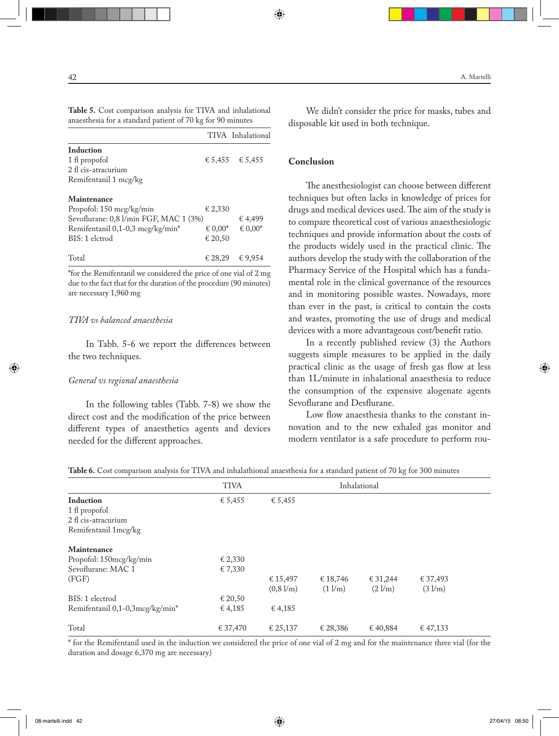|                                                            |  | <b>Table 5.</b> Cost comparison analysis for TIVA and inhalational |  |
|------------------------------------------------------------|--|--------------------------------------------------------------------|--|
| anaesthesia for a standard patient of 70 kg for 90 minutes |  |                                                                    |  |

|                                        |                              | TIVA Inhalational   |
|----------------------------------------|------------------------------|---------------------|
| <b>Induction</b>                       |                              |                     |
| 1 fl propofol                          |                              | € 5,455 $\in$ 5,455 |
| 2 fl cis-atracurium                    |                              |                     |
| Remifentanil 1 mcg/kg                  |                              |                     |
| Maintenance                            |                              |                     |
| Propofol: 150 mcg/kg/min               | € 2.330                      |                     |
| Sevoflurane: 0,8 l/min FGF, MAC 1 (3%) |                              | € 4,499             |
| Remifentanil 0,1-0,3 mcg/kg/min*       | $\epsilon$ 0.00 <sup>*</sup> | € 0,00 $*$          |
| BIS: 1 elctrod                         | € 20,50                      |                     |
| Total                                  | € 28.29                      | € 9.954             |

\*for the Remifentanil we considered the price of one vial of 2 mg due to the fact that for the duration of the procedure (90 minutes) are necessary 1,960 mg

#### *TIVA vs balanced anaesthesia*

In Tabb. 5-6 we report the differences between the two techniques.

#### *General vs regional anaesthesia*

In the following tables (Tabb. 7-8) we show the direct cost and the modification of the price between different types of anaesthetics agents and devices needed for the different approaches.

We didn't consider the price for masks, tubes and disposable kit used in both technique.

# **Conclusion**

The anesthesiologist can choose between different techniques but often lacks in knowledge of prices for drugs and medical devices used. The aim of the study is to compare theoretical cost of various anaesthesiologic techniques and provide information about the costs of the products widely used in the practical clinic. The authors develop the study with the collaboration of the Pharmacy Service of the Hospital which has a fundamental role in the clinical governance of the resources and in monitoring possible wastes. Nowadays, more than ever in the past, is critical to contain the costs and wastes, promoting the use of drugs and medical devices with a more advantageous cost/benefit ratio.

In a recently published review (3) the Authors suggests simple measures to be applied in the daily practical clinic as the usage of fresh gas flow at less than 1L/minute in inhalational anaesthesia to reduce the consumption of the expensive alogenate agents Sevoflurane and Desflurane.

Low flow anaesthesia thanks to the constant innovation and to the new exhaled gas monitor and modern ventilator is a safe procedure to perform rou-

**Table 6.** Cost comparison analysis for TIVA and inhalathional anaesthesia for a standard patient of 70 kg for 300 minutes

|                                 | <b>TIVA</b> |                    |                             | Inhalational                      |                   |  |
|---------------------------------|-------------|--------------------|-----------------------------|-----------------------------------|-------------------|--|
| Induction                       | € 5,455     | € 5,455            |                             |                                   |                   |  |
| 1 fl propofol                   |             |                    |                             |                                   |                   |  |
| 2 fl cis-atracurium             |             |                    |                             |                                   |                   |  |
| Remifentanil 1mcg/kg            |             |                    |                             |                                   |                   |  |
| Maintenance                     |             |                    |                             |                                   |                   |  |
| Propofol: 150mcg/kg/min         | € 2,330     |                    |                             |                                   |                   |  |
| Sevoflurane: MAC 1              | € 7,330     |                    |                             |                                   |                   |  |
| (FGF)                           |             | € 15,497           | € 18,746                    | € 31,244                          | € 37,493          |  |
|                                 |             | $(0.8 \text{ Vm})$ | $(1 \text{ } \nu \text{m})$ | $(2 \text{ }\mathcal{V}\text{m})$ | $(3 \text{ l/m})$ |  |
| BIS: 1 electrod                 | € 20,50     |                    |                             |                                   |                   |  |
| Remifentanil 0,1-0,3mcg/kg/min* | € 4,185     | € 4,185            |                             |                                   |                   |  |
| Total                           | € 37,470    | € 25,137           | € 28,386                    | €40.884                           | € 47,133          |  |

\* for the Remifentanil used in the induction we considered the price of one vial of 2 mg and for the maintenance three vial (for the duration and dosage 6,370 mg are necessary)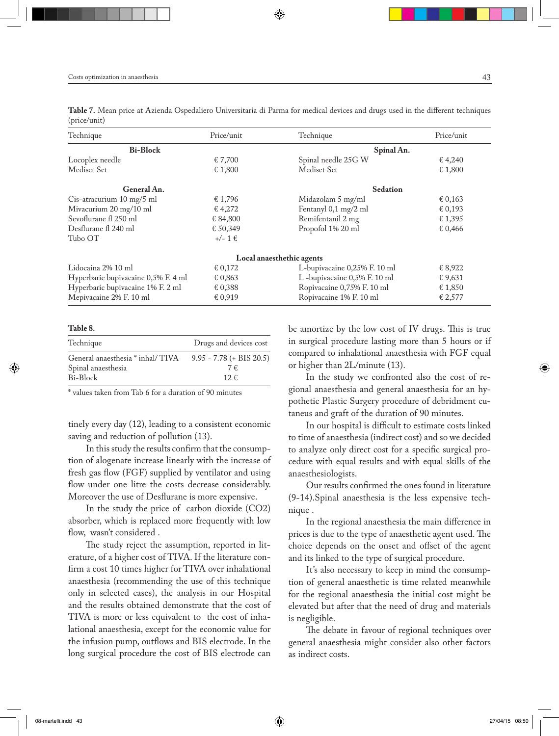**Table 7.** Mean price at Azienda Ospedaliero Universitaria di Parma for medical devices and drugs used in the different techniques (price/unit)

| Technique                           | Price/unit | Technique                    | Price/unit |
|-------------------------------------|------------|------------------------------|------------|
| <b>Bi-Block</b>                     |            | Spinal An.                   |            |
| Locoplex needle                     | € 7,700    | Spinal needle 25G W          | € 4,240    |
| Mediset Set                         | € 1,800    | Mediset Set                  | € 1,800    |
| General An.                         |            | <b>Sedation</b>              |            |
| Cis-atracurium 10 mg/5 ml           | € 1,796    | Midazolam 5 mg/ml            | € 0,163    |
| Mivacurium 20 mg/10 ml              | € 4,272    | Fentanyl 0,1 mg/2 ml         | € 0,193    |
| Sevoflurane fl 250 ml               | € 84,800   | Remifentanil 2 mg            | € 1,395    |
| Desflurane fl 240 ml                | € 50,349   | Propofol 1% 20 ml            | € 0,466    |
| Tubo OT                             | $+/- 1€$   |                              |            |
|                                     |            | Local anaesthethic agents    |            |
| Lidocaina 2% 10 ml                  | € 0,172    | L-bupivacaine 0,25% F. 10 ml | € 8,922    |
| Hyperbaric bupivacaine 0,5% F. 4 ml | € 0,863    | L -bupivacaine 0,5% F. 10 ml | € 9,631    |
| Hyperbaric bupivacaine 1% F. 2 ml   | € 0,388    | Ropivacaine 0,75% F. 10 ml   | € 1,850    |
| Mepivacaine 2% F. 10 ml             | € 0,919    | Ropivacaine 1% F. 10 ml      | € 2,577    |

#### **Table 8.**

| General anaesthesia * inhal/TIVA 9.95 - 7.78 (+ BIS 20.5)<br>7€ | Technique          | Drugs and devices cost |
|-----------------------------------------------------------------|--------------------|------------------------|
| Bi-Block<br>12€                                                 | Spinal anaesthesia |                        |

\* values taken from Tab 6 for a duration of 90 minutes

tinely every day (12), leading to a consistent economic saving and reduction of pollution (13).

In this study the results confirm that the consumption of alogenate increase linearly with the increase of fresh gas flow (FGF) supplied by ventilator and using flow under one litre the costs decrease considerably. Moreover the use of Desflurane is more expensive.

In the study the price of carbon dioxide (CO2) absorber, which is replaced more frequently with low flow, wasn't considered .

The study reject the assumption, reported in literature, of a higher cost of TIVA. If the literature confirm a cost 10 times higher for TIVA over inhalational anaesthesia (recommending the use of this technique only in selected cases), the analysis in our Hospital and the results obtained demonstrate that the cost of TIVA is more or less equivalent to the cost of inhalational anaesthesia, except for the economic value for the infusion pump, outflows and BIS electrode. In the long surgical procedure the cost of BIS electrode can

be amortize by the low cost of IV drugs. This is true in surgical procedure lasting more than 5 hours or if compared to inhalational anaesthesia with FGF equal or higher than 2L/minute (13).

In the study we confronted also the cost of regional anaesthesia and general anaesthesia for an hypothetic Plastic Surgery procedure of debridment cutaneus and graft of the duration of 90 minutes.

In our hospital is difficult to estimate costs linked to time of anaesthesia (indirect cost) and so we decided to analyze only direct cost for a specific surgical procedure with equal results and with equal skills of the anaesthesiologists.

Our results confirmed the ones found in literature (9-14).Spinal anaesthesia is the less expensive technique .

In the regional anaesthesia the main difference in prices is due to the type of anaesthetic agent used. The choice depends on the onset and offset of the agent and its linked to the type of surgical procedure.

It's also necessary to keep in mind the consumption of general anaesthetic is time related meanwhile for the regional anaesthesia the initial cost might be elevated but after that the need of drug and materials is negligible.

The debate in favour of regional techniques over general anaesthesia might consider also other factors as indirect costs.